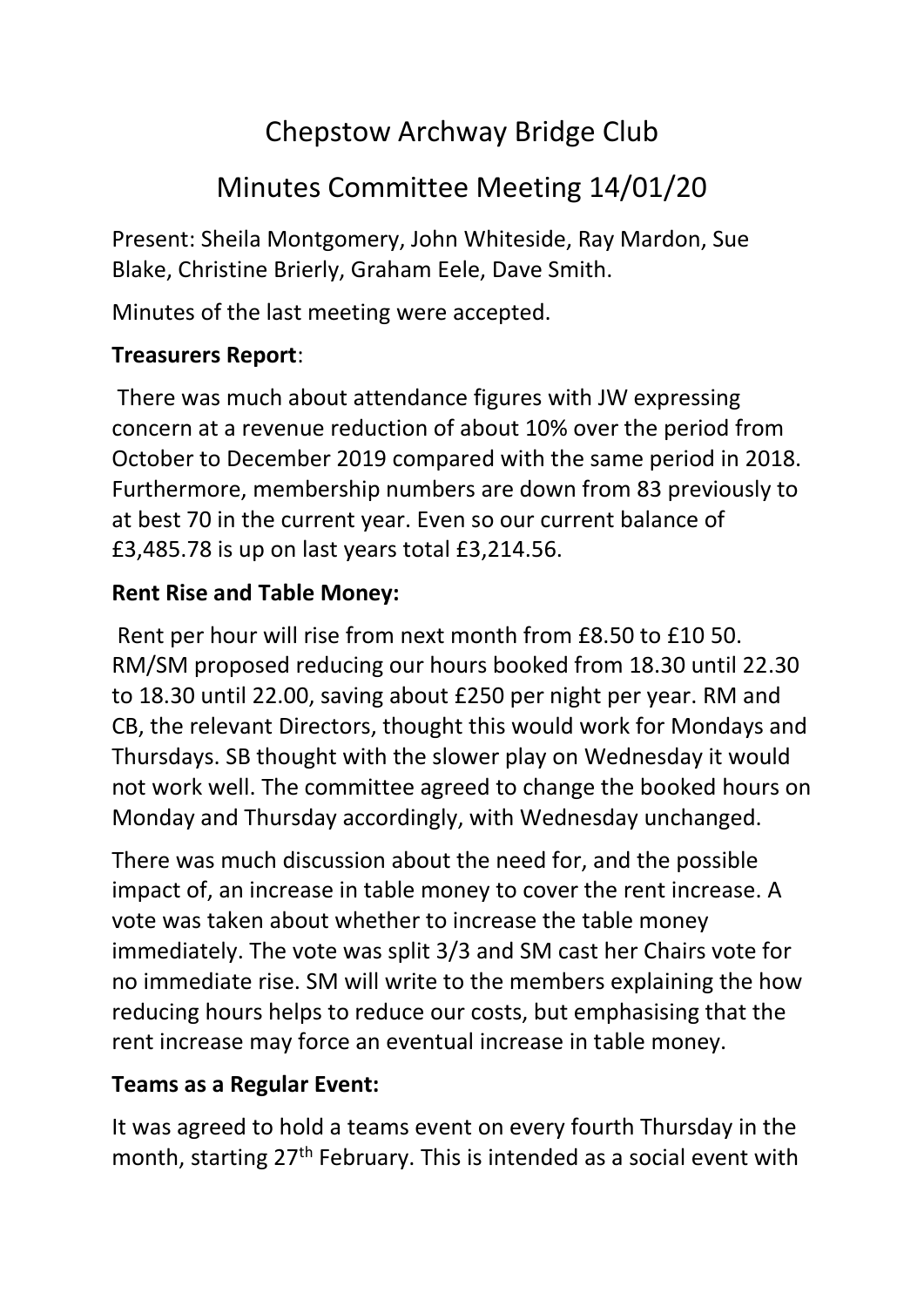# Chepstow Archway Bridge Club

# Minutes Committee Meeting 14/01/20

Present: Sheila Montgomery, John Whiteside, Ray Mardon, Sue Blake, Christine Brierly, Graham Eele, Dave Smith.

Minutes of the last meeting were accepted.

#### **Treasurers Report**:

There was much about attendance figures with JW expressing concern at a revenue reduction of about 10% over the period from October to December 2019 compared with the same period in 2018. Furthermore, membership numbers are down from 83 previously to at best 70 in the current year. Even so our current balance of £3,485.78 is up on last years total £3,214.56.

## **Rent Rise and Table Money:**

Rent per hour will rise from next month from £8.50 to £10 50. RM/SM proposed reducing our hours booked from 18.30 until 22.30 to 18.30 until 22.00, saving about £250 per night per year. RM and CB, the relevant Directors, thought this would work for Mondays and Thursdays. SB thought with the slower play on Wednesday it would not work well. The committee agreed to change the booked hours on Monday and Thursday accordingly, with Wednesday unchanged.

There was much discussion about the need for, and the possible impact of, an increase in table money to cover the rent increase. A vote was taken about whether to increase the table money immediately. The vote was split 3/3 and SM cast her Chairs vote for no immediate rise. SM will write to the members explaining the how reducing hours helps to reduce our costs, but emphasising that the rent increase may force an eventual increase in table money.

## **Teams as a Regular Event:**

It was agreed to hold a teams event on every fourth Thursday in the month, starting 27<sup>th</sup> February. This is intended as a social event with